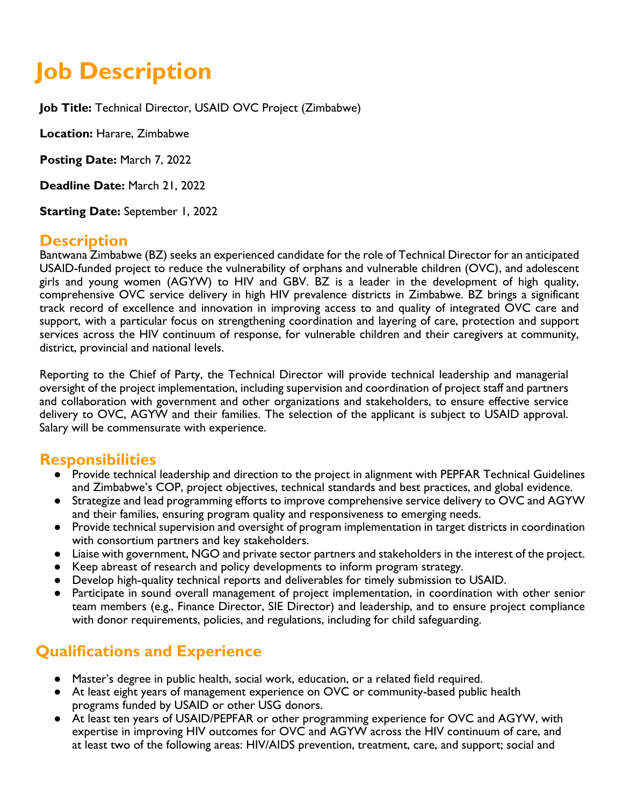# **Job Description**

**Job Title:** Technical Director, USAID OVC Project (Zimbabwe)

**Location:** Harare, Zimbabwe

**Posting Date:** March 7, 2022

**Deadline Date:** March 21, 2022

**Starting Date:** September 1, 2022

#### **Description**

Bantwana Zimbabwe (BZ) seeks an experienced candidate for the role of Technical Director for an anticipated USAID-funded project to reduce the vulnerability of orphans and vulnerable children (OVC), and adolescent girls and young women (AGYW) to HIV and GBV. BZ is a leader in the development of high quality, comprehensive OVC service delivery in high HIV prevalence districts in Zimbabwe. BZ brings a significant track record of excellence and innovation in improving access to and quality of integrated OVC care and support, with a particular focus on strengthening coordination and layering of care, protection and support services across the HIV continuum of response, for vulnerable children and their caregivers at community, district, provincial and national levels.

Reporting to the Chief of Party, the Technical Director will provide technical leadership and managerial oversight of the project implementation, including supervision and coordination of project staff and partners and collaboration with government and other organizations and stakeholders, to ensure effective service delivery to OVC, AGYW and their families. The selection of the applicant is subject to USAID approval. Salary will be commensurate with experience.

#### **Responsibilities**

- Provide technical leadership and direction to the project in alignment with PEPFAR Technical Guidelines and Zimbabwe's COP, project objectives, technical standards and best practices, and global evidence.
- Strategize and lead programming efforts to improve comprehensive service delivery to OVC and AGYW and their families, ensuring program quality and responsiveness to emerging needs.
- Provide technical supervision and oversight of program implementation in target districts in coordination with consortium partners and key stakeholders.
- Liaise with government, NGO and private sector partners and stakeholders in the interest of the project.
- Keep abreast of research and policy developments to inform program strategy.
- Develop high-quality technical reports and deliverables for timely submission to USAID.
- Participate in sound overall management of project implementation, in coordination with other senior team members (e.g., Finance Director, SIE Director) and leadership, and to ensure project compliance with donor requirements, policies, and regulations, including for child safeguarding.

## **Qualifications and Experience**

- Master's degree in public health, social work, education, or a related field required.
- At least eight years of management experience on OVC or community-based public health programs funded by USAID or other USG donors.
- At least ten years of USAID/PEPFAR or other programming experience for OVC and AGYW, with expertise in improving HIV outcomes for OVC and AGYW across the HIV continuum of care, and at least two of the following areas: HIV/AIDS prevention, treatment, care, and support; social and